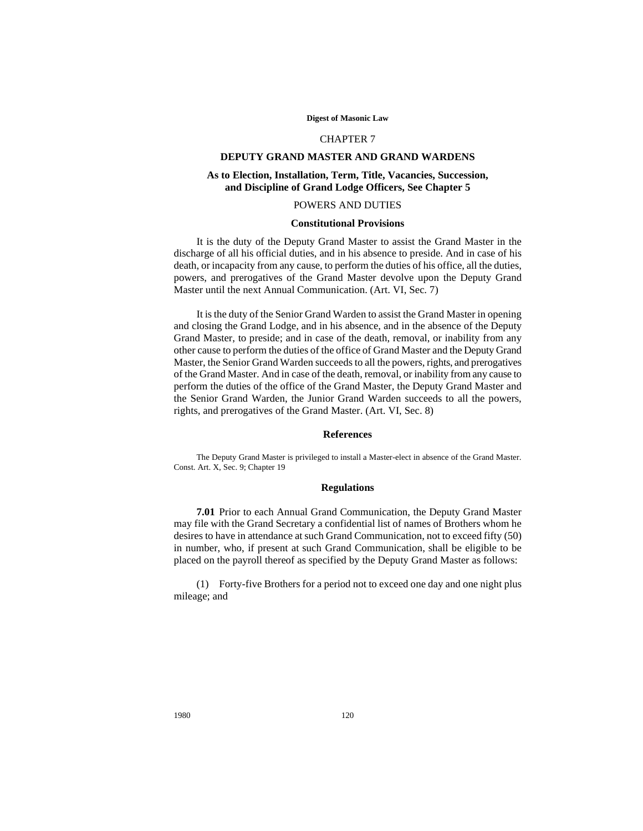#### **Digest of Masonic Law**

### CHAPTER 7

# **DEPUTY GRAND MASTER AND GRAND WARDENS**

# **As to Election, Installation, Term, Title, Vacancies, Succession, and Discipline of Grand Lodge Officers, See Chapter 5**

## POWERS AND DUTIES

## **Constitutional Provisions**

It is the duty of the Deputy Grand Master to assist the Grand Master in the discharge of all his official duties, and in his absence to preside. And in case of his death, or incapacity from any cause, to perform the duties of his office, all the duties, powers, and prerogatives of the Grand Master devolve upon the Deputy Grand Master until the next Annual Communication. (Art. VI, Sec. 7)

It is the duty of the Senior Grand Warden to assist the Grand Master in opening and closing the Grand Lodge, and in his absence, and in the absence of the Deputy Grand Master, to preside; and in case of the death, removal, or inability from any other cause to perform the duties of the office of Grand Master and the Deputy Grand Master, the Senior Grand Warden succeeds to all the powers, rights, and prerogatives of the Grand Master. And in case of the death, removal, or inability from any cause to perform the duties of the office of the Grand Master, the Deputy Grand Master and the Senior Grand Warden, the Junior Grand Warden succeeds to all the powers, rights, and prerogatives of the Grand Master. (Art. VI, Sec. 8)

#### **References**

The Deputy Grand Master is privileged to install a Master-elect in absence of the Grand Master. Const. Art. X, Sec. 9; Chapter 19

# **Regulations**

**7.01** Prior to each Annual Grand Communication, the Deputy Grand Master may file with the Grand Secretary a confidential list of names of Brothers whom he desires to have in attendance at such Grand Communication, not to exceed fifty (50) in number, who, if present at such Grand Communication, shall be eligible to be placed on the payroll thereof as specified by the Deputy Grand Master as follows:

(1) Forty-five Brothers for a period not to exceed one day and one night plus mileage; and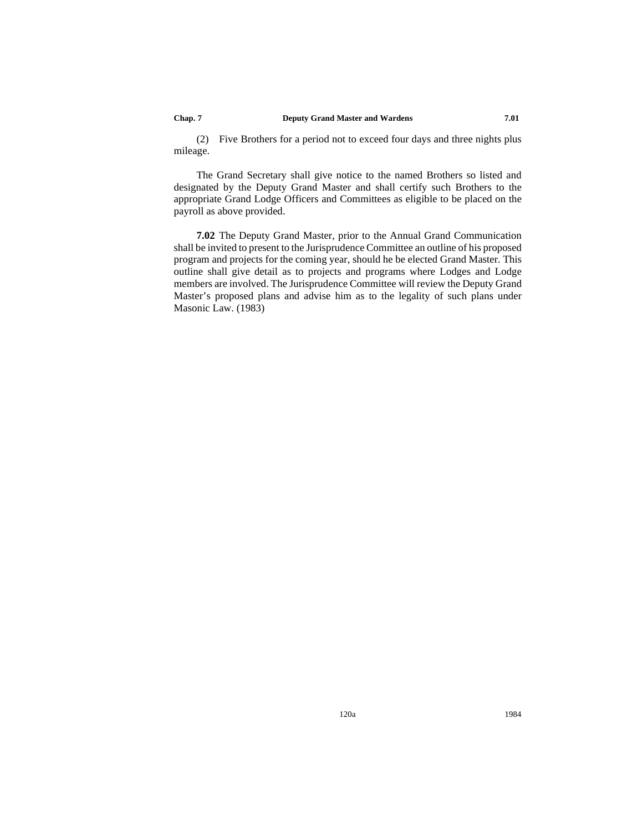#### **Chap. 7 Deputy Grand Master and Wardens 7.01**

(2) Five Brothers for a period not to exceed four days and three nights plus mileage.

The Grand Secretary shall give notice to the named Brothers so listed and designated by the Deputy Grand Master and shall certify such Brothers to the appropriate Grand Lodge Officers and Committees as eligible to be placed on the payroll as above provided.

**7.02** The Deputy Grand Master, prior to the Annual Grand Communication shall be invited to present to the Jurisprudence Committee an outline of his proposed program and projects for the coming year, should he be elected Grand Master. This outline shall give detail as to projects and programs where Lodges and Lodge members are involved. The Jurisprudence Committee will review the Deputy Grand Master's proposed plans and advise him as to the legality of such plans under Masonic Law. (1983)